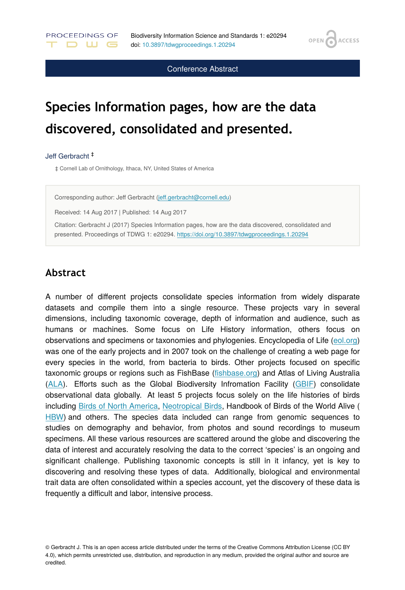**OPEN** 

**ACCESS** 

Conference Abstract

# **Species Information pages, how are the data discovered, consolidated and presented.**

#### Jeff Gerbracht ‡

PROCEEDINGS OF

**DUG** 

‡ Cornell Lab of Ornithology, Ithaca, NY, United States of America

Corresponding author: Jeff Gerbracht (jeff[.gerbracht@cornell.edu\)](mailto:jeff.gerbracht@cornell.edu)

Received: 14 Aug 2017 | Published: 14 Aug 2017

Citation: Gerbracht J (2017) Species Information pages, how are the data discovered, consolidated and presented. Proceedings of TDWG 1: e20294.<https://doi.org/10.3897/tdwgproceedings.1.20294>

### **Abstract**

A number of different projects consolidate species information from widely disparate datasets and compile them into a single resource. These projects vary in several dimensions, including taxonomic coverage, depth of information and audience, such as humans or machines. Some focus on Life History information, others focus on observations and specimens or taxonomies and phylogenies. Encyclopedia of Life ([eol.org](http://eol.org/)) was one of the early projects and in 2007 took on the challenge of creating a web page for every species in the world, from bacteria to birds. Other projects focused on specific taxonomic groups or regions such as FishBase (fi[shbase.org\)](http://www.fishbase.org/) and Atlas of Living Australia [\(ALA\)](http://www.ala.org.au). Efforts such as the Global Biodiversity Infromation Facility ([GBIF\)](http://www.gbif.org/) consolidate observational data globally. At least 5 projects focus solely on the life histories of birds including [Birds of North America](https://birdsna.org), [Neotropical Birds](https://neotropical.birds.cornell.edu), Handbook of Birds of the World Alive ( [HBW](http://www.hbw.com)) and others. The species data included can range from genomic sequences to studies on demography and behavior, from photos and sound recordings to museum specimens. All these various resources are scattered around the globe and discovering the data of interest and accurately resolving the data to the correct 'species' is an ongoing and significant challenge. Publishing taxonomic concepts is still in it infancy, yet is key to discovering and resolving these types of data. Additionally, biological and environmental trait data are often consolidated within a species account, yet the discovery of these data is frequently a difficult and labor, intensive process.

<sup>©</sup> Gerbracht J. This is an open access article distributed under the terms of the Creative Commons Attribution License (CC BY 4.0), which permits unrestricted use, distribution, and reproduction in any medium, provided the original author and source are credited.